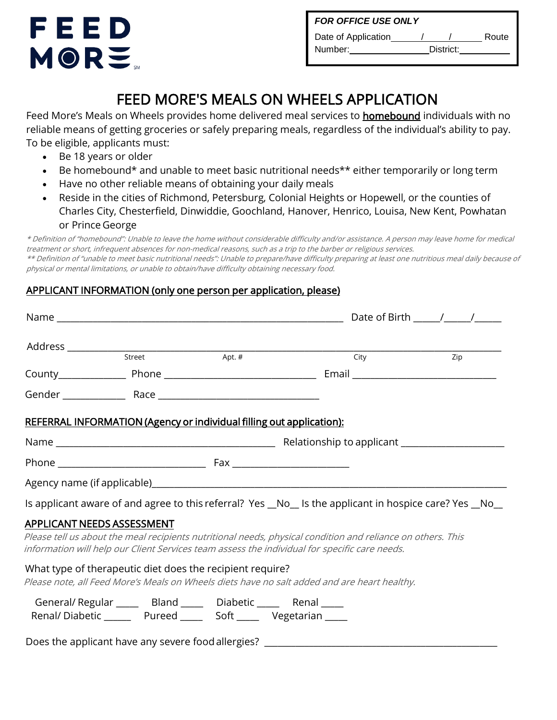

| <b>FOR OFFICE USE ONLY</b> |           |  |       |  |  |  |  |
|----------------------------|-----------|--|-------|--|--|--|--|
| Date of Application        |           |  | Route |  |  |  |  |
| Number:                    | District: |  |       |  |  |  |  |

## FEED MORE'S MEALS ON WHEELS APPLICATION

Feed More's Meals on Wheels provides home delivered meal services to **homebound** individuals with no reliable means of getting groceries or safely preparing meals, regardless of the individual's ability to pay. To be eligible, applicants must:

- Be 18 years or older
- Be homebound\* and unable to meet basic nutritional needs\*\* either temporarily or long term
- Have no other reliable means of obtaining your daily meals
- Reside in the cities of Richmond, Petersburg, Colonial Heights or Hopewell, or the counties of Charles City, Chesterfield, Dinwiddie, Goochland, Hanover, Henrico, Louisa, New Kent, Powhatan or Prince George

\* Definition of "homebound": Unable to leave the home without considerable difficulty and/or assistance. A person may leave home for medical treatment or short, infrequent absences for non-medical reasons, such as a trip to the barber or religious services. \*\* Definition of "unable to meet basic nutritional needs": Unable to prepare/have difficulty preparing at least one nutritious meal daily because of physical or mental limitations, or unable to obtain/have difficulty obtaining necessary food.

## APPLICANT INFORMATION (only one person per application, please)

|                                                                                                          |  | <b>Example 2015</b><br>City <b>Example 2016</b>                                                                                                                                                              |  |  |  |
|----------------------------------------------------------------------------------------------------------|--|--------------------------------------------------------------------------------------------------------------------------------------------------------------------------------------------------------------|--|--|--|
|                                                                                                          |  |                                                                                                                                                                                                              |  |  |  |
|                                                                                                          |  |                                                                                                                                                                                                              |  |  |  |
| <b>REFERRAL INFORMATION (Agency or individual filling out application):</b>                              |  |                                                                                                                                                                                                              |  |  |  |
|                                                                                                          |  |                                                                                                                                                                                                              |  |  |  |
|                                                                                                          |  |                                                                                                                                                                                                              |  |  |  |
|                                                                                                          |  |                                                                                                                                                                                                              |  |  |  |
|                                                                                                          |  | Is applicant aware of and agree to this referral? Yes _No_ Is the applicant in hospice care? Yes _No_                                                                                                        |  |  |  |
| <b>APPLICANT NEEDS ASSESSMENT</b>                                                                        |  |                                                                                                                                                                                                              |  |  |  |
|                                                                                                          |  | Please tell us about the meal recipients nutritional needs, physical condition and reliance on others. This<br>information will help our Client Services team assess the individual for specific care needs. |  |  |  |
| What type of therapeutic diet does the recipient require?                                                |  | Please note, all Feed More's Meals on Wheels diets have no salt added and are heart healthy.                                                                                                                 |  |  |  |
| General/Regular ______ Bland _____ Diabetic _____ Renal _____<br>Renal/Diabetic Pureed Soft Perceptarian |  |                                                                                                                                                                                                              |  |  |  |
|                                                                                                          |  | Does the applicant have any severe food allergies? _____________________________                                                                                                                             |  |  |  |